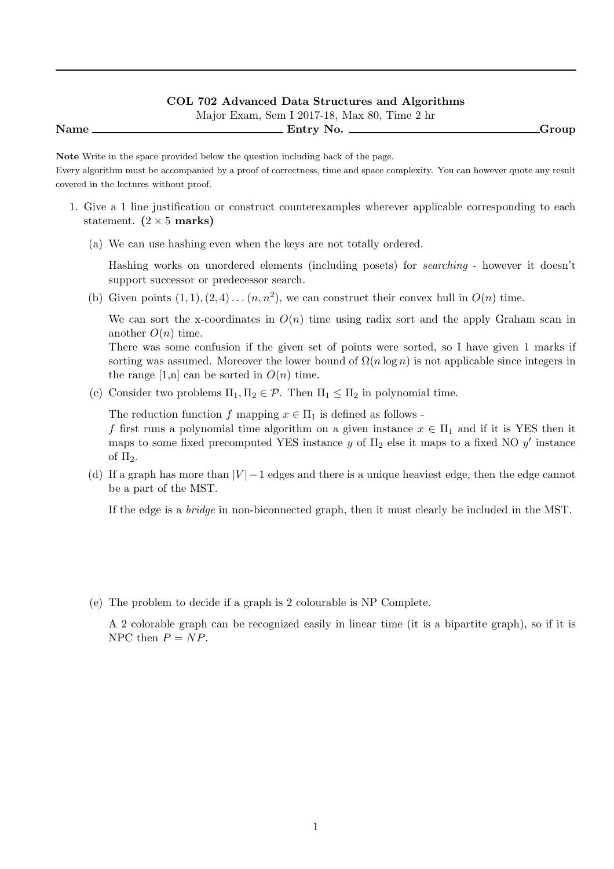#### **COL 702 Advanced Data Structures and Algorithms**

Major Exam, Sem I 2017-18, Max 80, Time 2 hr

**Name Entry No. Group**

**Note** Write in the space provided below the question including back of the page.

Every algorithm must be accompanied by a proof of correctness, time and space complexity. You can however quote any result covered in the lectures without proof.

- 1. Give a 1 line justification or construct counterexamples wherever applicable corresponding to each statement.  $(2 \times 5 \text{ marks})$ 
	- (a) We can use hashing even when the keys are not totally ordered.

Hashing works on unordered elements (including posets) for *searching* - however it doesn't support successor or predecessor search.

(b) Given points  $(1, 1), (2, 4), \ldots (n, n^2)$ , we can construct their convex hull in  $O(n)$  time.

We can sort the x-coordinates in  $O(n)$  time using radix sort and the apply Graham scan in another  $O(n)$  time.

There was some confusion if the given set of points were sorted, so I have given 1 marks if sorting was assumed. Moreover the lower bound of  $\Omega(n \log n)$  is not applicable since integers in the range  $[1,n]$  can be sorted in  $O(n)$  time.

(c) Consider two problems  $\Pi_1, \Pi_2 \in \mathcal{P}$ . Then  $\Pi_1 \leq \Pi_2$  in polynomial time.

The reduction function *f* mapping  $x \in \Pi_1$  is defined as follows -

*f* first runs a polynomial time algorithm on a given instance  $x \in \Pi_1$  and if it is YES then it maps to some fixed precomputed YES instance  $y$  of  $\Pi_2$  else it maps to a fixed NO  $y'$  instance of  $\Pi_2$ .

(d) If a graph has more than  $|V| - 1$  edges and there is a unique heaviest edge, then the edge cannot be a part of the MST.

If the edge is a *bridge* in non-biconnected graph, then it must clearly be included in the MST.

(e) The problem to decide if a graph is 2 colourable is NP Complete.

A 2 colorable graph can be recognized easily in linear time (it is a bipartite graph), so if it is NPC then  $P = NP$ .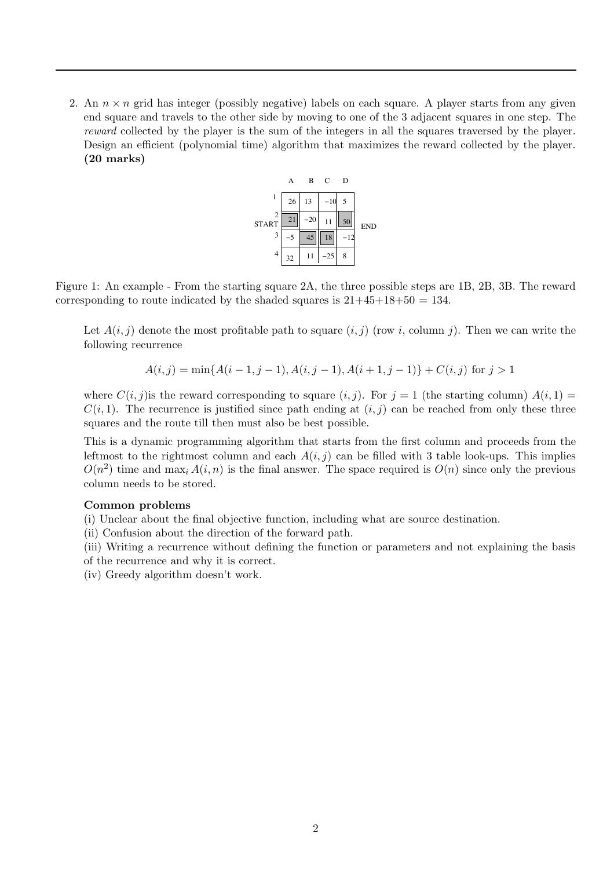2. An  $n \times n$  grid has integer (possibly negative) labels on each square. A player starts from any given end square and travels to the other side by moving to one of the 3 adjacent squares in one step. The *reward* collected by the player is the sum of the integers in all the squares traversed by the player. Design an efficient (polynomial time) algorithm that maximizes the reward collected by the player. **(20 marks)**



Figure 1: An example - From the starting square 2A, the three possible steps are 1B, 2B, 3B. The reward corresponding to route indicated by the shaded squares is  $21+45+18+50 = 134$ .

Let  $A(i, j)$  denote the most profitable path to square  $(i, j)$  (row *i*, column *j*). Then we can write the following recurrence

$$
A(i, j) = \min\{A(i - 1, j - 1), A(i, j - 1), A(i + 1, j - 1)\} + C(i, j) \text{ for } j > 1
$$

where  $C(i, j)$  is the reward corresponding to square  $(i, j)$ . For  $j = 1$  (the starting column)  $A(i, 1) =$  $C(i,1)$ . The recurrence is justified since path ending at  $(i,j)$  can be reached from only these three squares and the route till then must also be best possible.

This is a dynamic programming algorithm that starts from the first column and proceeds from the leftmost to the rightmost column and each  $A(i, j)$  can be filled with 3 table look-ups. This implies  $O(n^2)$  time and max<sub>i</sub>  $A(i, n)$  is the final answer. The space required is  $O(n)$  since only the previous column needs to be stored.

# **Common problems**

(i) Unclear about the final objective function, including what are source destination.

(ii) Confusion about the direction of the forward path.

(iii) Writing a recurrence without defining the function or parameters and not explaining the basis of the recurrence and why it is correct.

(iv) Greedy algorithm doesn't work.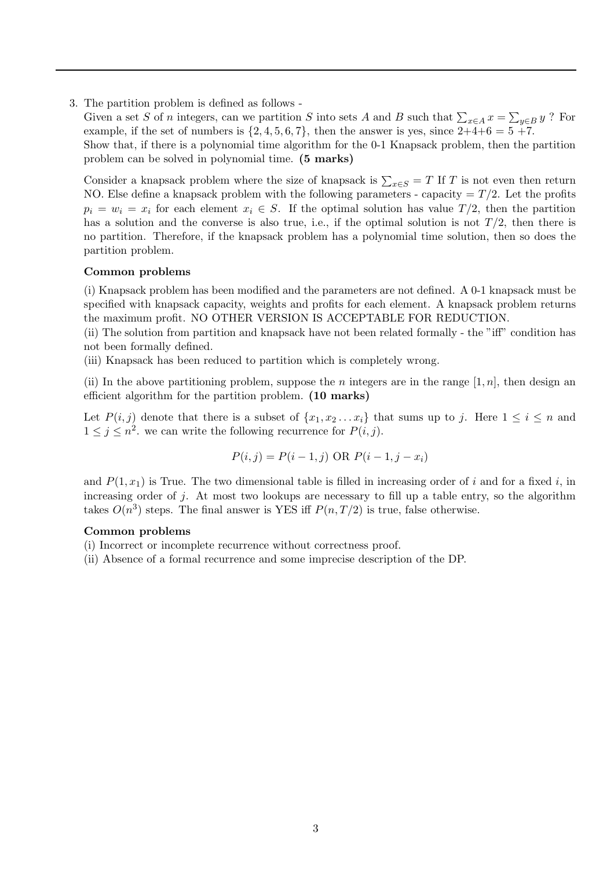3. The partition problem is defined as follows -

Given a set *S* of *n* integers, can we partition *S* into sets *A* and *B* such that  $\sum_{x \in A} x = \sum_{y \in B} y$  ? For example if the set of numbers is  $\{2, 4, 5, 6, 7\}$ , then the answer is vectoring  $2 \mid 4 + 6 = 5 + 7$ example, if the set of numbers is  $\{2, 4, 5, 6, 7\}$ , then the answer is yes, since  $2+4+6=5+7$ .

Show that, if there is a polynomial time algorithm for the 0-1 Knapsack problem, then the partition problem can be solved in polynomial time. **(5 marks)**

Consider a knapsack problem where the size of knapsack is  $\sum_{x \in S} = T$  If *T* is not even then return NO. Fise define a knapsack problem with the following parameters, capacity  $T/2$  I at the profits NO. Else define a knapsack problem with the following parameters - capacity  $= T/2$ . Let the profits  $p_i = w_i = x_i$  for each element  $x_i \in S$ . If the optimal solution has value  $T/2$ , then the partition has a solution and the converse is also true, i.e., if the optimal solution is not  $T/2$ , then there is no partition. Therefore, if the knapsack problem has a polynomial time solution, then so does the partition problem.

#### **Common problems**

(i) Knapsack problem has been modified and the parameters are not defined. A 0-1 knapsack must be specified with knapsack capacity, weights and profits for each element. A knapsack problem returns the maximum profit. NO OTHER VERSION IS ACCEPTABLE FOR REDUCTION.

(ii) The solution from partition and knapsack have not been related formally - the "iff" condition has not been formally defined.

(iii) Knapsack has been reduced to partition which is completely wrong.

(ii) In the above partitioning problem, suppose the *n* integers are in the range  $[1, n]$ , then design an efficient algorithm for the partition problem. **(10 marks)**

Let  $P(i, j)$  denote that there is a subset of  $\{x_1, x_2 \ldots x_i\}$  that sums up to *j*. Here  $1 \le i \le n$  and  $1 \leq j \leq n^2$ . we can write the following recurrence for  $P(i, j)$ .

$$
P(i, j) = P(i - 1, j) \text{ OR } P(i - 1, j - x_i)
$$

and  $P(1, x_1)$  is True. The two dimensional table is filled in increasing order of *i* and for a fixed *i*, in increasing order of *j*. At most two lookups are necessary to fill up a table entry, so the algorithm takes  $O(n^3)$  steps. The final answer is YES iff  $P(n, T/2)$  is true, false otherwise.

### **Common problems**

(i) Incorrect or incomplete recurrence without correctness proof.

(ii) Absence of a formal recurrence and some imprecise description of the DP.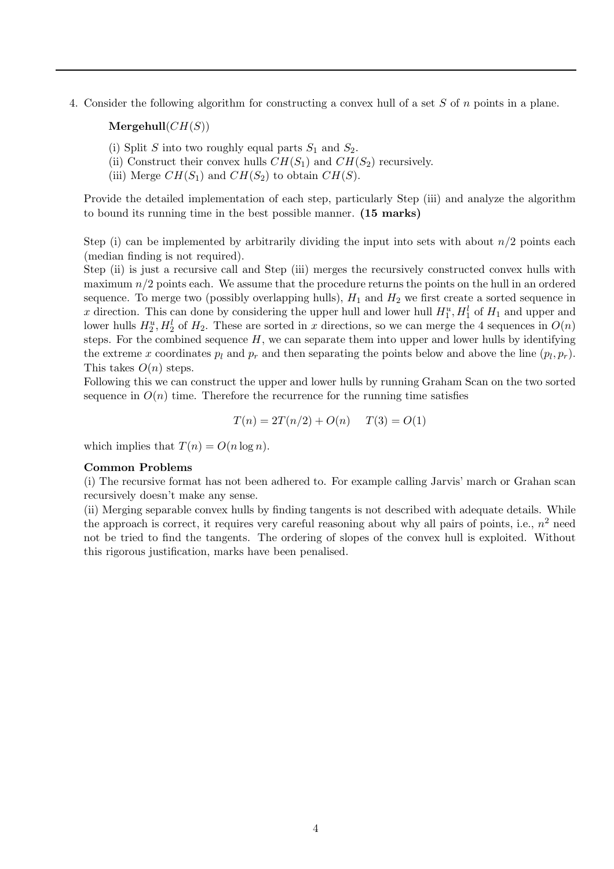4. Consider the following algorithm for constructing a convex hull of a set *S* of *n* points in a plane.

 $Mergehull(CH(S))$ 

- (i) Split *S* into two roughly equal parts  $S_1$  and  $S_2$ .
- (ii) Construct their convex hulls  $CH(S_1)$  and  $CH(S_2)$  recursively.
- (iii) Merge  $CH(S_1)$  and  $CH(S_2)$  to obtain  $CH(S)$ .

Provide the detailed implementation of each step, particularly Step (iii) and analyze the algorithm to bound its running time in the best possible manner. **(15 marks)**

Step (i) can be implemented by arbitrarily dividing the input into sets with about  $n/2$  points each (median finding is not required).

Step (ii) is just a recursive call and Step (iii) merges the recursively constructed convex hulls with maximum  $n/2$  points each. We assume that the procedure returns the points on the hull in an ordered sequence. To merge two (possibly overlapping hulls),  $H_1$  and  $H_2$  we first create a sorted sequence in *x* direction. This can done by considering the upper hull and lower hull  $H_1^u$ ,  $H_1^l$  of  $H_1$  and upper and lower hulls  $H^u$ ,  $H^l$  of  $H_2$ . These are serted in *x* directions, so we can merge the 4 sequences in lower hulls  $H_2^u$ ,  $H_2^l$  of  $H_2$ . These are sorted in *x* directions, so we can merge the 4 sequences in  $O(n)$ <br>stops. For the combined sequence  $H$ , we can congrate them inte upper and lower hulls by identifying steps. For the combined sequence  $H$ , we can separate them into upper and lower hulls by identifying the extreme *x* coordinates  $p_l$  and  $p_r$  and then separating the points below and above the line  $(p_l, p_r)$ . This takes *O*(*n*) steps.

Following this we can construct the upper and lower hulls by running Graham Scan on the two sorted sequence in  $O(n)$  time. Therefore the recurrence for the running time satisfies

$$
T(n) = 2T(n/2) + O(n) \qquad T(3) = O(1)
$$

which implies that  $T(n) = O(n \log n)$ .

## **Common Problems**

(i) The recursive format has not been adhered to. For example calling Jarvis' march or Grahan scan recursively doesn't make any sense.

(ii) Merging separable convex hulls by finding tangents is not described with adequate details. While the approach is correct, it requires very careful reasoning about why all pairs of points, i.e.,  $n^2$  need not be tried to find the tangents. The ordering of slopes of the convex hull is exploited. Without this rigorous justification, marks have been penalised.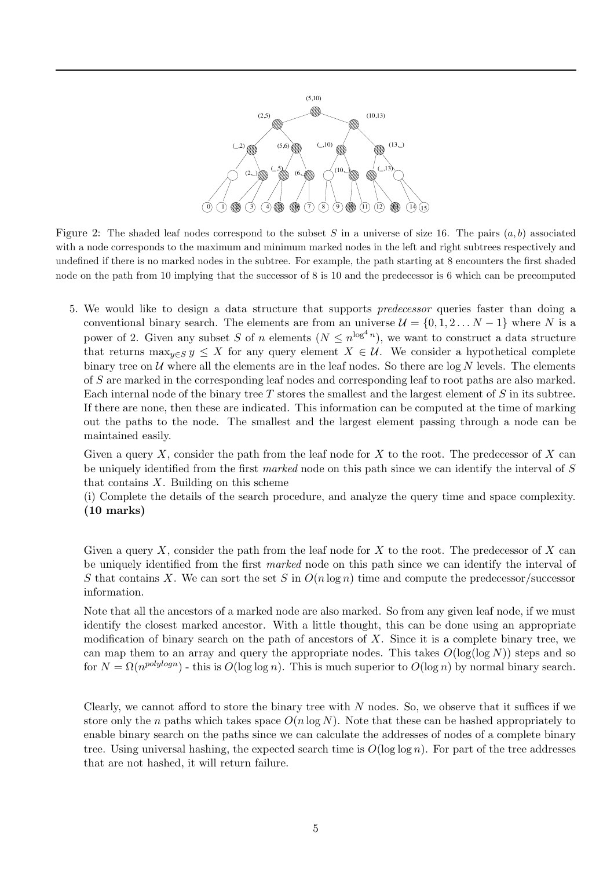

Figure 2: The shaded leaf nodes correspond to the subset *S* in a universe of size 16. The pairs (*a, b*) associated with a node corresponds to the maximum and minimum marked nodes in the left and right subtrees respectively and undefined if there is no marked nodes in the subtree. For example, the path starting at 8 encounters the first shaded node on the path from 10 implying that the successor of 8 is 10 and the predecessor is 6 which can be precomputed

5. We would like to design a data structure that supports *predecessor* queries faster than doing a conventional binary search. The elements are from an universe  $\mathcal{U} = \{0, 1, 2, \ldots N - 1\}$  where *N* is a power of 2. Given any subset *S* of *n* elements ( $N \le n^{\log^4 n}$ ), we want to construct a data structure that returns  $\max_{y \in S} y \leq X$  for any query element  $X \in \mathcal{U}$ . We consider a hypothetical complete binary tree on  $U$  where all the elements are in the leaf nodes. So there are  $\log N$  levels. The elements of *S* are marked in the corresponding leaf nodes and corresponding leaf to root paths are also marked. Each internal node of the binary tree *T* stores the smallest and the largest element of *S* in its subtree. If there are none, then these are indicated. This information can be computed at the time of marking out the paths to the node. The smallest and the largest element passing through a node can be maintained easily.

Given a query *X*, consider the path from the leaf node for *X* to the root. The predecessor of *X* can be uniquely identified from the first *marked* node on this path since we can identify the interval of *S* that contains *X*. Building on this scheme

(i) Complete the details of the search procedure, and analyze the query time and space complexity. **(10 marks)**

Given a query *X*, consider the path from the leaf node for *X* to the root. The predecessor of *X* can be uniquely identified from the first *marked* node on this path since we can identify the interval of *S* that contains *X*. We can sort the set *S* in  $O(n \log n)$  time and compute the predecessor/successor information.

Note that all the ancestors of a marked node are also marked. So from any given leaf node, if we must identify the closest marked ancestor. With a little thought, this can be done using an appropriate modification of binary search on the path of ancestors of *X*. Since it is a complete binary tree, we can map them to an array and query the appropriate nodes. This takes  $O(\log(\log N))$  steps and so for  $N = \Omega(n^{polylog n})$  - this is  $O(\log \log n)$ . This is much superior to  $O(\log n)$  by normal binary search.

Clearly, we cannot afford to store the binary tree with *N* nodes. So, we observe that it suffices if we store only the *n* paths which takes space  $O(n \log N)$ . Note that these can be hashed appropriately to enable binary search on the paths since we can calculate the addresses of nodes of a complete binary tree. Using universal hashing, the expected search time is  $O(\log \log n)$ . For part of the tree addresses that are not hashed, it will return failure.